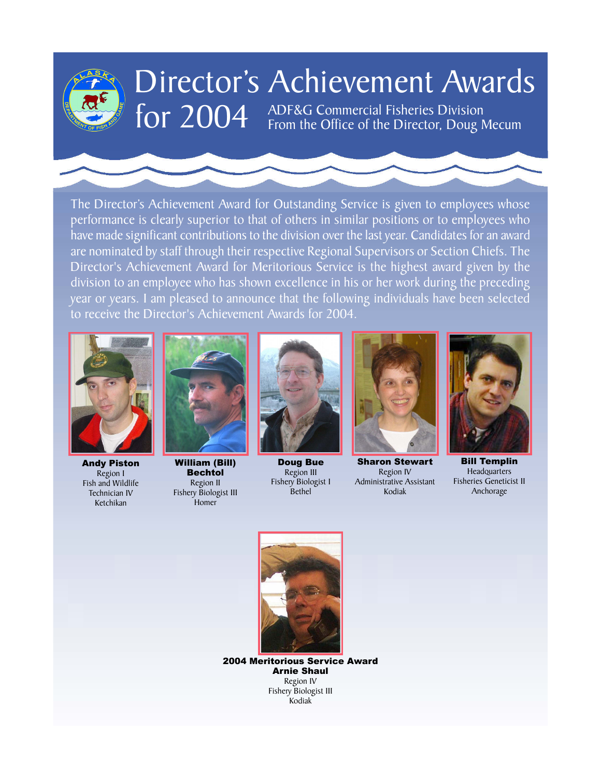

# Director's Achievement Awards

for 2004 ADF&G Commercial Fisheries Division<br>From the Office of the Director, Doug Mecum

have made significant contributions to the division over the last year. Candidates for an award The Director's Achievement Award for Outstanding Service is given to employees whose performance is clearly superior to that of others in similar positions or to employees who are nominated by staff through their respective Regional Supervisors or Section Chiefs. The Director's Achievement Award for Meritorious Service is the highest award given by the division to an employee who has shown excellence in his or her work during the preceding year or years. I am pleased to announce that the following individuals have been selected to receive the Director's Achievement Awards for 2004.



Andy Piston Region I Fish and Wildlife Technician IV Ketchikan



William (Bill) Bechtol Region II Fishery Biologist III Homer



Doug Bue Region III Fishery Biologist I **Bethel** 



Sharon Stewart Region IV Administrative Assistant Kodiak



Bill Templin Bill Templin Headquarters Headquarters Fisheries Geneticist II Fisheries Geneticist II Anchorage Anchorage



2004 Meritorious Service Award Arnie Shaul Region IV Fishery Biologist III Kodiak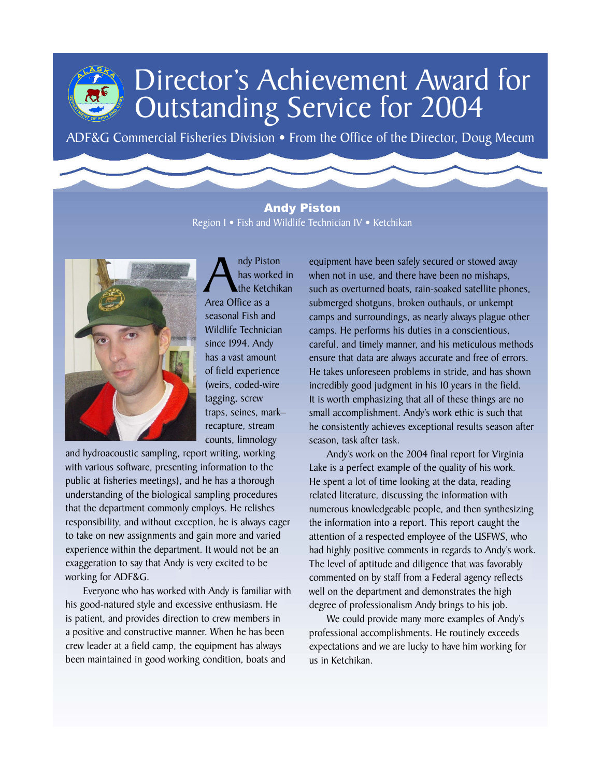ADF&G Commercial Fisheries Division • From the Office of the Director, Doug Mecum

#### Andy Piston Region I • Fish and Wildlife Technician IV • Ketchikan



Andy Piston<br>has worked<br>Area Office as a has worked in the Ketchikan seasonal Fish and Wildlife Technician since 1994. Andy has a vast amount of field experience (weirs, coded-wire tagging, screw traps, seines, mark– recapture, stream counts, limnology

and hydroacoustic sampling, report writing, working with various software, presenting information to the public at fisheries meetings), and he has a thorough understanding of the biological sampling procedures that the department commonly employs. He relishes responsibility, and without exception, he is always eager to take on new assignments and gain more and varied experience within the department. It would not be an exaggeration to say that Andy is very excited to be working for ADF&G.

Everyone who has worked with Andy is familiar with his good-natured style and excessive enthusiasm. He is patient, and provides direction to crew members in a positive and constructive manner. When he has been crew leader at a field camp, the equipment has always been maintained in good working condition, boats and

equipment have been safely secured or stowed away when not in use, and there have been no mishaps, such as overturned boats, rain-soaked satellite phones, submerged shotguns, broken outhauls, or unkempt camps and surroundings, as nearly always plague other camps. He performs his duties in a conscientious, careful, and timely manner, and his meticulous methods ensure that data are always accurate and free of errors. He takes unforeseen problems in stride, and has shown incredibly good judgment in his 10 years in the field. It is worth emphasizing that all of these things are no small accomplishment. Andy's work ethic is such that he consistently achieves exceptional results season after season, task after task.

Andy's work on the 2004 final report for Virginia Lake is a perfect example of the quality of his work. He spent a lot of time looking at the data, reading related literature, discussing the information with numerous knowledgeable people, and then synthesizing the information into a report. This report caught the attention of a respected employee of the USFWS, who had highly positive comments in regards to Andy's work. The level of aptitude and diligence that was favorably commented on by staff from a Federal agency reflects well on the department and demonstrates the high degree of professionalism Andy brings to his job.

We could provide many more examples of Andy's professional accomplishments. He routinely exceeds expectations and we are lucky to have him working for us in Ketchikan.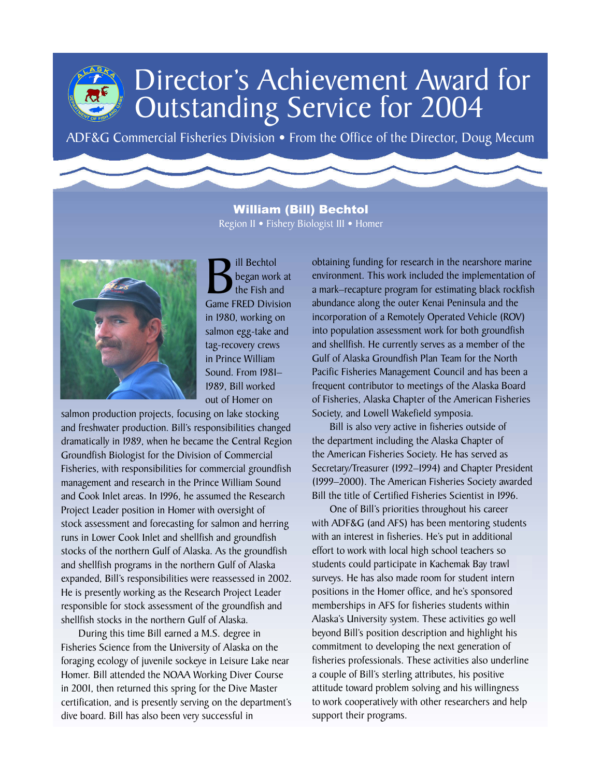ADF&G Commercial Fisheries Division • From the Office of the Director, Doug Mecum

#### William (Bill) Bechtol Region II • Fishery Biologist III • Homer



**B**<br>began work at<br>the Fish and<br>Game FRED Division began work at the Fish and in 1980, working on salmon egg-take and tag-recovery crews in Prince William Sound. From 1981– 1989, Bill worked out of Homer on

salmon production projects, focusing on lake stocking and freshwater production. Bill's responsibilities changed dramatically in 1989, when he became the Central Region Groundfish Biologist for the Division of Commercial Fisheries, with responsibilities for commercial groundfish management and research in the Prince William Sound and Cook Inlet areas. In 1996, he assumed the Research Project Leader position in Homer with oversight of stock assessment and forecasting for salmon and herring runs in Lower Cook Inlet and shellfish and groundfish stocks of the northern Gulf of Alaska. As the groundfish and shellfish programs in the northern Gulf of Alaska expanded, Bill's responsibilities were reassessed in 2002. He is presently working as the Research Project Leader responsible for stock assessment of the groundfish and shellfish stocks in the northern Gulf of Alaska.

During this time Bill earned a M.S. degree in Fisheries Science from the University of Alaska on the foraging ecology of juvenile sockeye in Leisure Lake near Homer. Bill attended the NOAA Working Diver Course in 2001, then returned this spring for the Dive Master certification, and is presently serving on the department's dive board. Bill has also been very successful in

obtaining funding for research in the nearshore marine environment. This work included the implementation of a mark–recapture program for estimating black rockfish abundance along the outer Kenai Peninsula and the incorporation of a Remotely Operated Vehicle (ROV) into population assessment work for both groundfish and shellfish. He currently serves as a member of the Gulf of Alaska Groundfish Plan Team for the North Pacific Fisheries Management Council and has been a frequent contributor to meetings of the Alaska Board of Fisheries, Alaska Chapter of the American Fisheries Society, and Lowell Wakefield symposia.

Bill is also very active in fisheries outside of the department including the Alaska Chapter of the American Fisheries Society. He has served as Secretary/Treasurer (1992–1994) and Chapter President (1999–2000). The American Fisheries Society awarded Bill the title of Certified Fisheries Scientist in 1996.

One of Bill's priorities throughout his career with ADF&G (and AFS) has been mentoring students with an interest in fisheries. He's put in additional effort to work with local high school teachers so students could participate in Kachemak Bay trawl surveys. He has also made room for student intern positions in the Homer office, and he's sponsored memberships in AFS for fisheries students within Alaska's University system. These activities go well beyond Bill's position description and highlight his commitment to developing the next generation of fisheries professionals. These activities also underline a couple of Bill's sterling attributes, his positive attitude toward problem solving and his willingness to work cooperatively with other researchers and help support their programs.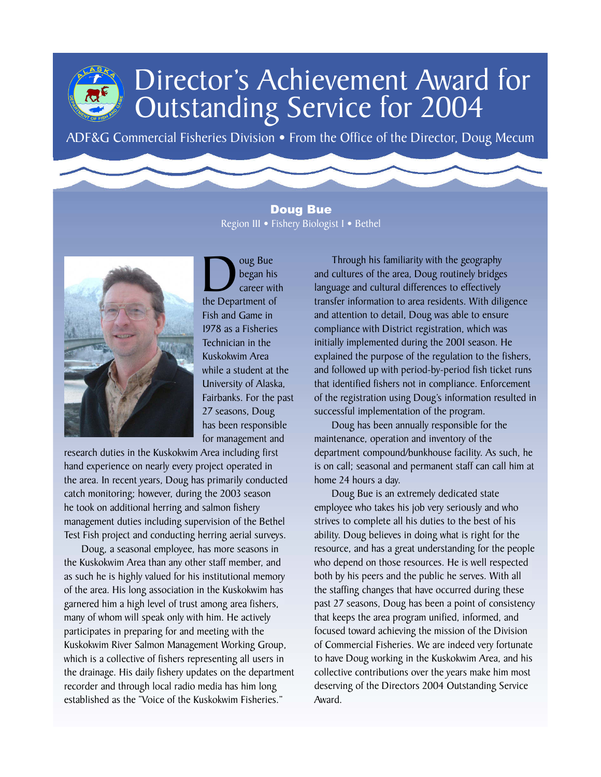ADF&G Commercial Fisheries Division • From the Office of the Director, Doug Mecum

Doug Bue Region III • Fishery Biologist I • Bethel



 $\sum_{\text{career with}}$ began his career with Fish and Game in 1978 as a Fisheries Technician in the Kuskokwim Area while a student at the University of Alaska, Fairbanks. For the past 27 seasons, Doug has been responsible for management and

research duties in the Kuskokwim Area including first hand experience on nearly every project operated in the area. In recent years, Doug has primarily conducted catch monitoring; however, during the 2003 season he took on additional herring and salmon fishery management duties including supervision of the Bethel Test Fish project and conducting herring aerial surveys.

Doug, a seasonal employee, has more seasons in the Kuskokwim Area than any other staff member, and as such he is highly valued for his institutional memory of the area. His long association in the Kuskokwim has garnered him a high level of trust among area fishers, many of whom will speak only with him. He actively participates in preparing for and meeting with the Kuskokwim River Salmon Management Working Group, which is a collective of fishers representing all users in the drainage. His daily fishery updates on the department recorder and through local radio media has him long established as the "Voice of the Kuskokwim Fisheries."

Through his familiarity with the geography and cultures of the area, Doug routinely bridges language and cultural differences to effectively transfer information to area residents. With diligence and attention to detail, Doug was able to ensure compliance with District registration, which was initially implemented during the 2001 season. He explained the purpose of the regulation to the fishers, and followed up with period-by-period fish ticket runs that identified fishers not in compliance. Enforcement of the registration using Doug's information resulted in successful implementation of the program.

Doug has been annually responsible for the maintenance, operation and inventory of the department compound/bunkhouse facility. As such, he is on call; seasonal and permanent staff can call him at home 24 hours a day.

Doug Bue is an extremely dedicated state employee who takes his job very seriously and who strives to complete all his duties to the best of his ability. Doug believes in doing what is right for the resource, and has a great understanding for the people who depend on those resources. He is well respected both by his peers and the public he serves. With all the staffing changes that have occurred during these past 27 seasons, Doug has been a point of consistency that keeps the area program unified, informed, and focused toward achieving the mission of the Division of Commercial Fisheries. We are indeed very fortunate to have Doug working in the Kuskokwim Area, and his collective contributions over the years make him most deserving of the Directors 2004 Outstanding Service Award.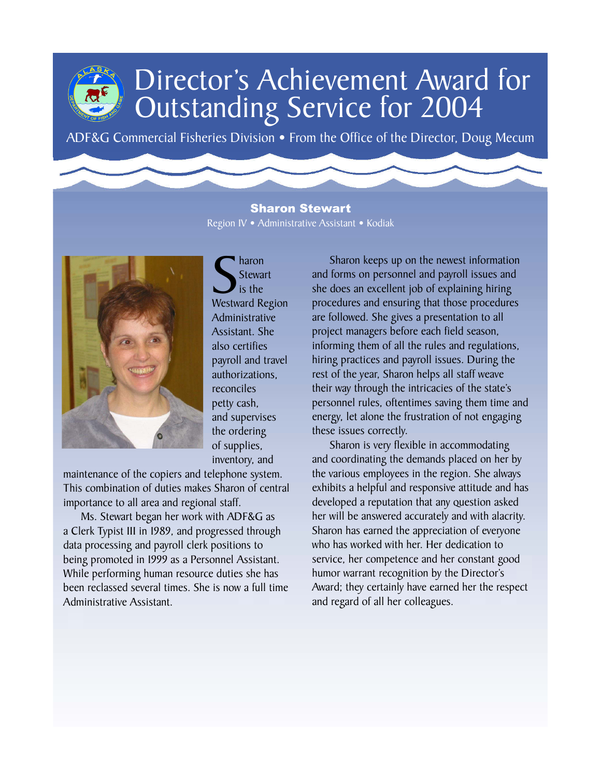ADF&G Commercial Fisheries Division • From the Office of the Director, Doug Mecum

Sharon Stewart Region IV • Administrative Assistant • Kodiak



Stewart<br>
Sis the<br>
Westward Region haron **Stewart** is the Administrative Assistant. She also certifies payroll and travel authorizations, reconciles petty cash, and supervises the ordering of supplies, inventory, and

maintenance of the copiers and telephone system. This combination of duties makes Sharon of central importance to all area and regional staff.

Ms. Stewart began her work with ADF&G as a Clerk Typist III in 1989, and progressed through data processing and payroll clerk positions to being promoted in 1999 as a Personnel Assistant. While performing human resource duties she has been reclassed several times. She is now a full time Administrative Assistant.

Sharon keeps up on the newest information and forms on personnel and payroll issues and she does an excellent job of explaining hiring procedures and ensuring that those procedures are followed. She gives a presentation to all project managers before each field season, informing them of all the rules and regulations, hiring practices and payroll issues. During the rest of the year, Sharon helps all staff weave their way through the intricacies of the state's personnel rules, oftentimes saving them time and energy, let alone the frustration of not engaging these issues correctly.

Sharon is very flexible in accommodating and coordinating the demands placed on her by the various employees in the region. She always exhibits a helpful and responsive attitude and has developed a reputation that any question asked her will be answered accurately and with alacrity. Sharon has earned the appreciation of everyone who has worked with her. Her dedication to service, her competence and her constant good humor warrant recognition by the Director's Award; they certainly have earned her the respect and regard of all her colleagues.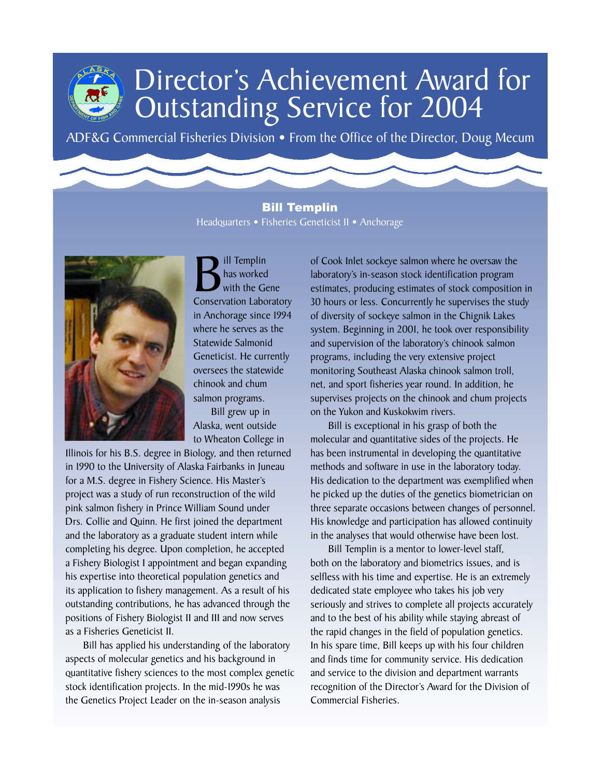ADF&G Commercial Fisheries Division • From the Office of the Director, Doug Mecum

#### Bill Templin Headquarters • Fisheries Geneticist II • Anchorage



**B** ill Templin<br>
with the Gene<br>
Conservation Laboratory has worked with the Gene in Anchorage since 1994 where he serves as the Statewide Salmonid Geneticist. He currently oversees the statewide chinook and chum salmon programs.

Bill grew up in Alaska, went outside to Wheaton College in

Illinois for his B.S. degree in Biology, and then returned in 1990 to the University of Alaska Fairbanks in Juneau for a M.S. degree in Fishery Science. His Master's project was a study of run reconstruction of the wild pink salmon fishery in Prince William Sound under Drs. Collie and Quinn. He first joined the department and the laboratory as a graduate student intern while completing his degree. Upon completion, he accepted a Fishery Biologist I appointment and began expanding his expertise into theoretical population genetics and its application to fishery management. As a result of his outstanding contributions, he has advanced through the positions of Fishery Biologist II and III and now serves as a Fisheries Geneticist II.

Bill has applied his understanding of the laboratory aspects of molecular genetics and his background in quantitative fishery sciences to the most complex genetic stock identification projects. In the mid-1990s he was the Genetics Project Leader on the in-season analysis

of Cook Inlet sockeye salmon where he oversaw the laboratory's in-season stock identification program estimates, producing estimates of stock composition in 30 hours or less. Concurrently he supervises the study of diversity of sockeye salmon in the Chignik Lakes system. Beginning in 2001, he took over responsibility and supervision of the laboratory's chinook salmon programs, including the very extensive project monitoring Southeast Alaska chinook salmon troll, net, and sport fisheries year round. In addition, he supervises projects on the chinook and chum projects on the Yukon and Kuskokwim rivers.

Bill is exceptional in his grasp of both the molecular and quantitative sides of the projects. He has been instrumental in developing the quantitative methods and software in use in the laboratory today. His dedication to the department was exemplified when he picked up the duties of the genetics biometrician on three separate occasions between changes of personnel. His knowledge and participation has allowed continuity in the analyses that would otherwise have been lost.

Bill Templin is a mentor to lower-level staff, both on the laboratory and biometrics issues, and is selfless with his time and expertise. He is an extremely dedicated state employee who takes his job very seriously and strives to complete all projects accurately and to the best of his ability while staying abreast of the rapid changes in the field of population genetics. In his spare time, Bill keeps up with his four children and finds time for community service. His dedication and service to the division and department warrants recognition of the Director's Award for the Division of Commercial Fisheries.